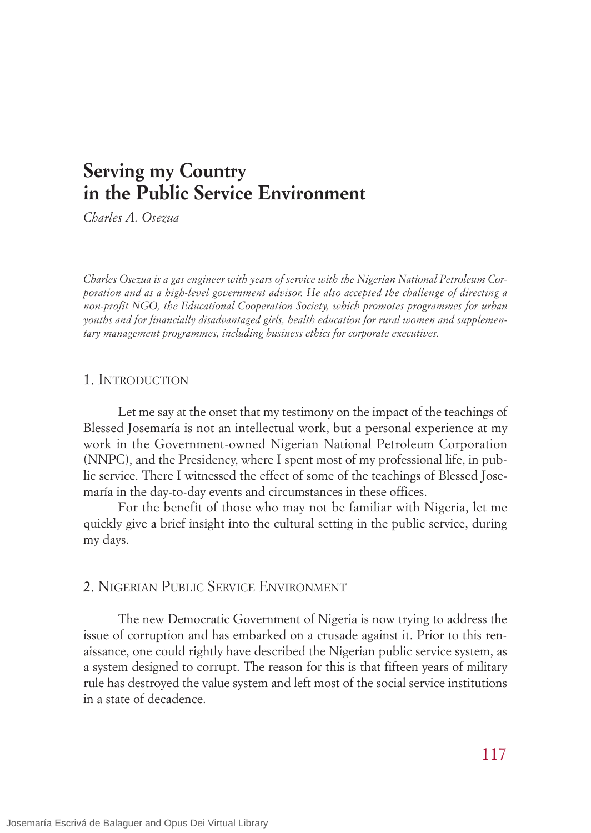# **Serving my Country in the Public Service Environment**

*Charles A. Osezua*

*Charles Osezua is a gas engineer with years of service with the Nigerian National Petroleum Corporation and as a high-level government advisor. He also accepted the challenge of directing a non-profit NGO, the Educational Cooperation Society, which promotes programmes for urban youths and for financially disadvantaged girls, health education for rural women and supplementary management programmes, including business ethics for corporate executives.*

#### 1. INTRODUCTION

Let me say at the onset that my testimony on the impact of the teachings of Blessed Josemaría is not an intellectual work, but a personal experience at my work in the Government-owned Nigerian National Petroleum Corporation (NNPC), and the Presidency, where I spent most of my professional life, in public service. There I witnessed the effect of some of the teachings of Blessed Josemaría in the day-to-day events and circumstances in these offices.

For the benefit of those who may not be familiar with Nigeria, let me quickly give a brief insight into the cultural setting in the public service, during my days.

### 2. NIGERIAN PUBLIC SERVICE ENVIRONMENT

The new Democratic Government of Nigeria is now trying to address the issue of corruption and has embarked on a crusade against it. Prior to this renaissance, one could rightly have described the Nigerian public service system, as a system designed to corrupt. The reason for this is that fifteen years of military rule has destroyed the value system and left most of the social service institutions in a state of decadence.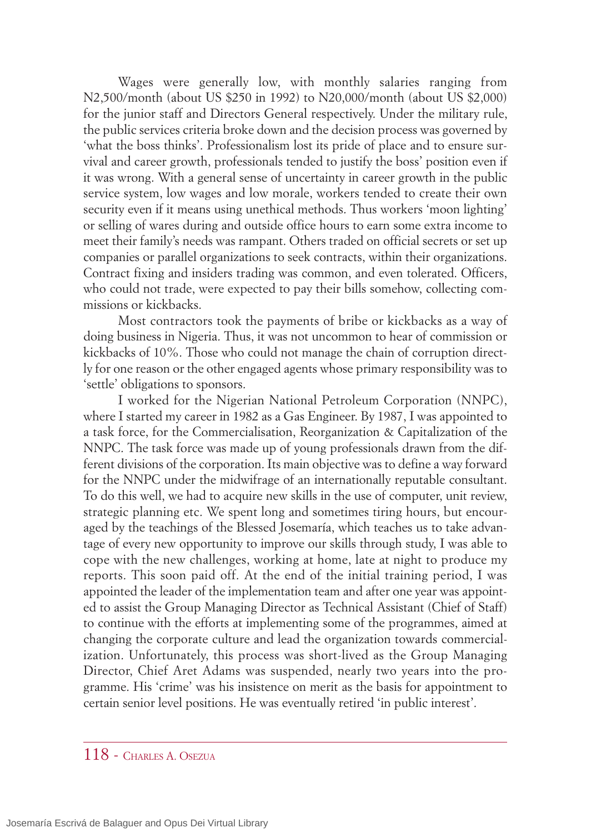Wages were generally low, with monthly salaries ranging from N2,500/month (about US \$250 in 1992) to N20,000/month (about US \$2,000) for the junior staff and Directors General respectively. Under the military rule, the public services criteria broke down and the decision process was governed by 'what the boss thinks'. Professionalism lost its pride of place and to ensure survival and career growth, professionals tended to justify the boss' position even if it was wrong. With a general sense of uncertainty in career growth in the public service system, low wages and low morale, workers tended to create their own security even if it means using unethical methods. Thus workers 'moon lighting' or selling of wares during and outside office hours to earn some extra income to meet their family's needs was rampant. Others traded on official secrets or set up companies or parallel organizations to seek contracts, within their organizations. Contract fixing and insiders trading was common, and even tolerated. Officers, who could not trade, were expected to pay their bills somehow, collecting commissions or kickbacks.

Most contractors took the payments of bribe or kickbacks as a way of doing business in Nigeria. Thus, it was not uncommon to hear of commission or kickbacks of 10%. Those who could not manage the chain of corruption directly for one reason or the other engaged agents whose primary responsibility was to 'settle' obligations to sponsors.

I worked for the Nigerian National Petroleum Corporation (NNPC), where I started my career in 1982 as a Gas Engineer. By 1987, I was appointed to a task force, for the Commercialisation, Reorganization & Capitalization of the NNPC. The task force was made up of young professionals drawn from the different divisions of the corporation. Its main objective was to define a way forward for the NNPC under the midwifrage of an internationally reputable consultant. To do this well, we had to acquire new skills in the use of computer, unit review, strategic planning etc. We spent long and sometimes tiring hours, but encouraged by the teachings of the Blessed Josemaría, which teaches us to take advantage of every new opportunity to improve our skills through study, I was able to cope with the new challenges, working at home, late at night to produce my reports. This soon paid off. At the end of the initial training period, I was appointed the leader of the implementation team and after one year was appointed to assist the Group Managing Director as Technical Assistant (Chief of Staff) to continue with the efforts at implementing some of the programmes, aimed at changing the corporate culture and lead the organization towards commercialization. Unfortunately, this process was short-lived as the Group Managing Director, Chief Aret Adams was suspended, nearly two years into the programme. His 'crime' was his insistence on merit as the basis for appointment to certain senior level positions. He was eventually retired 'in public interest'.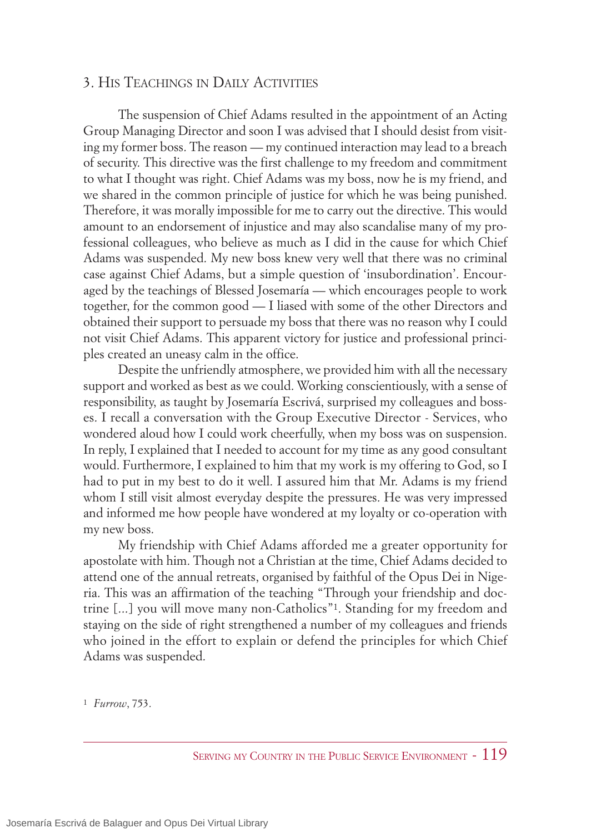#### 3. HIS TEACHINGS IN DAILY ACTIVITIES

The suspension of Chief Adams resulted in the appointment of an Acting Group Managing Director and soon I was advised that I should desist from visiting my former boss. The reason — my continued interaction may lead to a breach of security. This directive was the first challenge to my freedom and commitment to what I thought was right. Chief Adams was my boss, now he is my friend, and we shared in the common principle of justice for which he was being punished. Therefore, it was morally impossible for me to carry out the directive. This would amount to an endorsement of injustice and may also scandalise many of my professional colleagues, who believe as much as I did in the cause for which Chief Adams was suspended. My new boss knew very well that there was no criminal case against Chief Adams, but a simple question of 'insubordination'. Encouraged by the teachings of Blessed Josemaría — which encourages people to work together, for the common good — I liased with some of the other Directors and obtained their support to persuade my boss that there was no reason why I could not visit Chief Adams. This apparent victory for justice and professional principles created an uneasy calm in the office.

Despite the unfriendly atmosphere, we provided him with all the necessary support and worked as best as we could. Working conscientiously, with a sense of responsibility, as taught by Josemaría Escrivá, surprised my colleagues and bosses. I recall a conversation with the Group Executive Director - Services, who wondered aloud how I could work cheerfully, when my boss was on suspension. In reply, I explained that I needed to account for my time as any good consultant would. Furthermore, I explained to him that my work is my offering to God, so I had to put in my best to do it well. I assured him that Mr. Adams is my friend whom I still visit almost everyday despite the pressures. He was very impressed and informed me how people have wondered at my loyalty or co-operation with my new boss.

My friendship with Chief Adams afforded me a greater opportunity for apostolate with him. Though not a Christian at the time, Chief Adams decided to attend one of the annual retreats, organised by faithful of the Opus Dei in Nigeria. This was an affirmation of the teaching "Through your friendship and doctrine [...] you will move many non-Catholics"1. Standing for my freedom and staying on the side of right strengthened a number of my colleagues and friends who joined in the effort to explain or defend the principles for which Chief Adams was suspended.

1 *Furrow*, 753.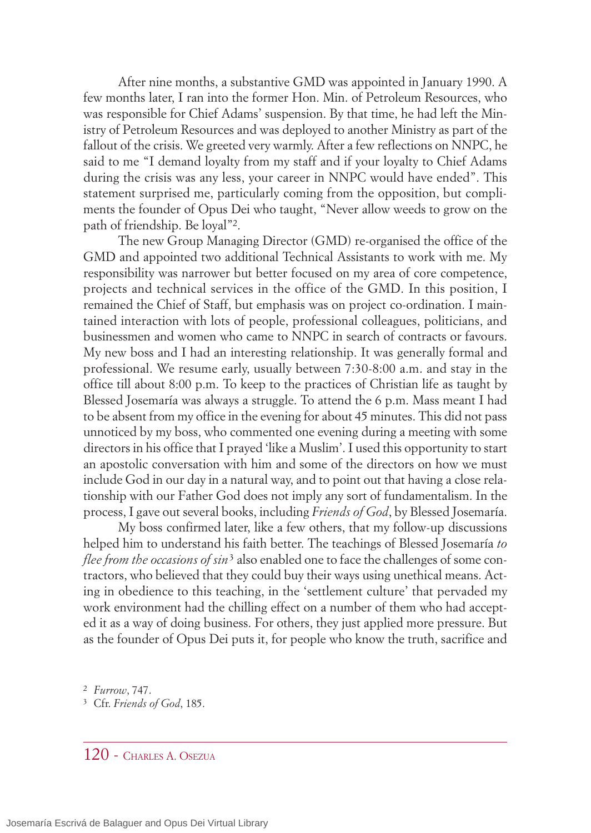After nine months, a substantive GMD was appointed in January 1990. A few months later, I ran into the former Hon. Min. of Petroleum Resources, who was responsible for Chief Adams' suspension. By that time, he had left the Ministry of Petroleum Resources and was deployed to another Ministry as part of the fallout of the crisis. We greeted very warmly. After a few reflections on NNPC, he said to me "I demand loyalty from my staff and if your loyalty to Chief Adams during the crisis was any less, your career in NNPC would have ended". This statement surprised me, particularly coming from the opposition, but compliments the founder of Opus Dei who taught, "Never allow weeds to grow on the path of friendship. Be loyal"2.

The new Group Managing Director (GMD) re-organised the office of the GMD and appointed two additional Technical Assistants to work with me. My responsibility was narrower but better focused on my area of core competence, projects and technical services in the office of the GMD. In this position, I remained the Chief of Staff, but emphasis was on project co-ordination. I maintained interaction with lots of people, professional colleagues, politicians, and businessmen and women who came to NNPC in search of contracts or favours. My new boss and I had an interesting relationship. It was generally formal and professional. We resume early, usually between 7:30-8:00 a.m. and stay in the office till about 8:00 p.m. To keep to the practices of Christian life as taught by Blessed Josemaría was always a struggle. To attend the 6 p.m. Mass meant I had to be absent from my office in the evening for about 45 minutes. This did not pass unnoticed by my boss, who commented one evening during a meeting with some directors in his office that I prayed 'like a Muslim'. I used this opportunity to start an apostolic conversation with him and some of the directors on how we must include God in our day in a natural way, and to point out that having a close relationship with our Father God does not imply any sort of fundamentalism. In the process, I gave out several books, including *Friends of God*, by Blessed Josemaría.

My boss confirmed later, like a few others, that my follow-up discussions helped him to understand his faith better. The teachings of Blessed Josemaría *to flee from the occasions of sin*<sup>3</sup> also enabled one to face the challenges of some contractors, who believed that they could buy their ways using unethical means. Acting in obedience to this teaching, in the 'settlement culture' that pervaded my work environment had the chilling effect on a number of them who had accepted it as a way of doing business. For others, they just applied more pressure. But as the founder of Opus Dei puts it, for people who know the truth, sacrifice and

- 3 Cfr. *Friends of God*, 185.
- 120 CHARLES A. OSEZUA

<sup>2</sup> *Furrow*, 747.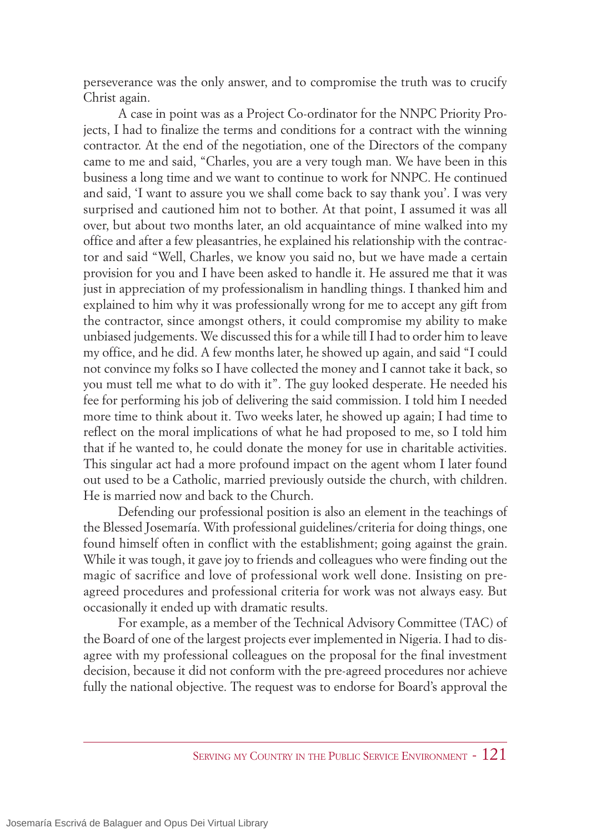perseverance was the only answer, and to compromise the truth was to crucify Christ again.

A case in point was as a Project Co-ordinator for the NNPC Priority Projects, I had to finalize the terms and conditions for a contract with the winning contractor. At the end of the negotiation, one of the Directors of the company came to me and said, "Charles, you are a very tough man. We have been in this business a long time and we want to continue to work for NNPC. He continued and said, 'I want to assure you we shall come back to say thank you'. I was very surprised and cautioned him not to bother. At that point, I assumed it was all over, but about two months later, an old acquaintance of mine walked into my office and after a few pleasantries, he explained his relationship with the contractor and said "Well, Charles, we know you said no, but we have made a certain provision for you and I have been asked to handle it. He assured me that it was just in appreciation of my professionalism in handling things. I thanked him and explained to him why it was professionally wrong for me to accept any gift from the contractor, since amongst others, it could compromise my ability to make unbiased judgements. We discussed this for a while till I had to order him to leave my office, and he did. A few months later, he showed up again, and said "I could not convince my folks so I have collected the money and I cannot take it back, so you must tell me what to do with it". The guy looked desperate. He needed his fee for performing his job of delivering the said commission. I told him I needed more time to think about it. Two weeks later, he showed up again; I had time to reflect on the moral implications of what he had proposed to me, so I told him that if he wanted to, he could donate the money for use in charitable activities. This singular act had a more profound impact on the agent whom I later found out used to be a Catholic, married previously outside the church, with children. He is married now and back to the Church.

Defending our professional position is also an element in the teachings of the Blessed Josemaría. With professional guidelines/criteria for doing things, one found himself often in conflict with the establishment; going against the grain. While it was tough, it gave joy to friends and colleagues who were finding out the magic of sacrifice and love of professional work well done. Insisting on preagreed procedures and professional criteria for work was not always easy. But occasionally it ended up with dramatic results.

For example, as a member of the Technical Advisory Committee (TAC) of the Board of one of the largest projects ever implemented in Nigeria. I had to disagree with my professional colleagues on the proposal for the final investment decision, because it did not conform with the pre-agreed procedures nor achieve fully the national objective. The request was to endorse for Board's approval the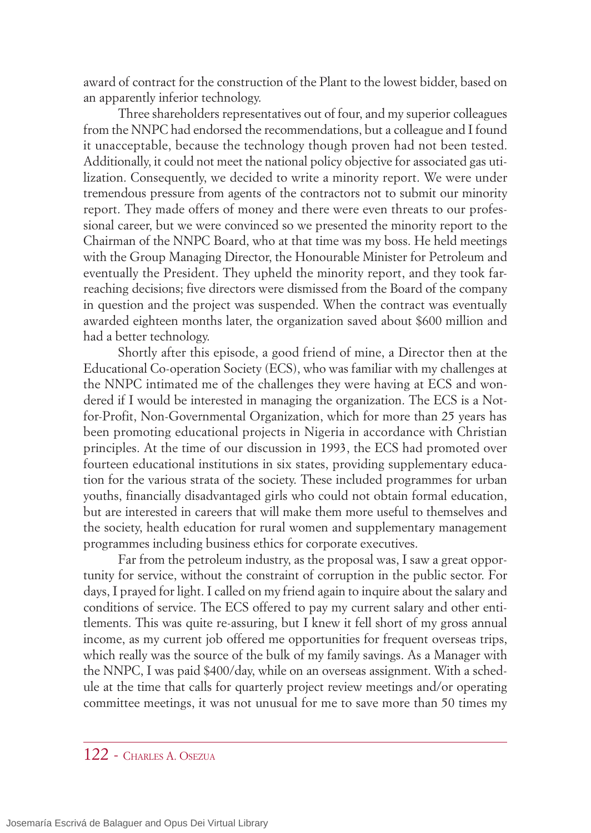award of contract for the construction of the Plant to the lowest bidder, based on an apparently inferior technology.

Three shareholders representatives out of four, and my superior colleagues from the NNPC had endorsed the recommendations, but a colleague and I found it unacceptable, because the technology though proven had not been tested. Additionally, it could not meet the national policy objective for associated gas utilization. Consequently, we decided to write a minority report. We were under tremendous pressure from agents of the contractors not to submit our minority report. They made offers of money and there were even threats to our professional career, but we were convinced so we presented the minority report to the Chairman of the NNPC Board, who at that time was my boss. He held meetings with the Group Managing Director, the Honourable Minister for Petroleum and eventually the President. They upheld the minority report, and they took farreaching decisions; five directors were dismissed from the Board of the company in question and the project was suspended. When the contract was eventually awarded eighteen months later, the organization saved about \$600 million and had a better technology.

Shortly after this episode, a good friend of mine, a Director then at the Educational Co-operation Society (ECS), who was familiar with my challenges at the NNPC intimated me of the challenges they were having at ECS and wondered if I would be interested in managing the organization. The ECS is a Notfor-Profit, Non-Governmental Organization, which for more than 25 years has been promoting educational projects in Nigeria in accordance with Christian principles. At the time of our discussion in 1993, the ECS had promoted over fourteen educational institutions in six states, providing supplementary education for the various strata of the society. These included programmes for urban youths, financially disadvantaged girls who could not obtain formal education, but are interested in careers that will make them more useful to themselves and the society, health education for rural women and supplementary management programmes including business ethics for corporate executives.

Far from the petroleum industry, as the proposal was, I saw a great opportunity for service, without the constraint of corruption in the public sector. For days, I prayed for light. I called on my friend again to inquire about the salary and conditions of service. The ECS offered to pay my current salary and other entitlements. This was quite re-assuring, but I knew it fell short of my gross annual income, as my current job offered me opportunities for frequent overseas trips, which really was the source of the bulk of my family savings. As a Manager with the NNPC, I was paid \$400/day, while on an overseas assignment. With a schedule at the time that calls for quarterly project review meetings and/or operating committee meetings, it was not unusual for me to save more than 50 times my

## 122 - CHARLES A. OSEZUA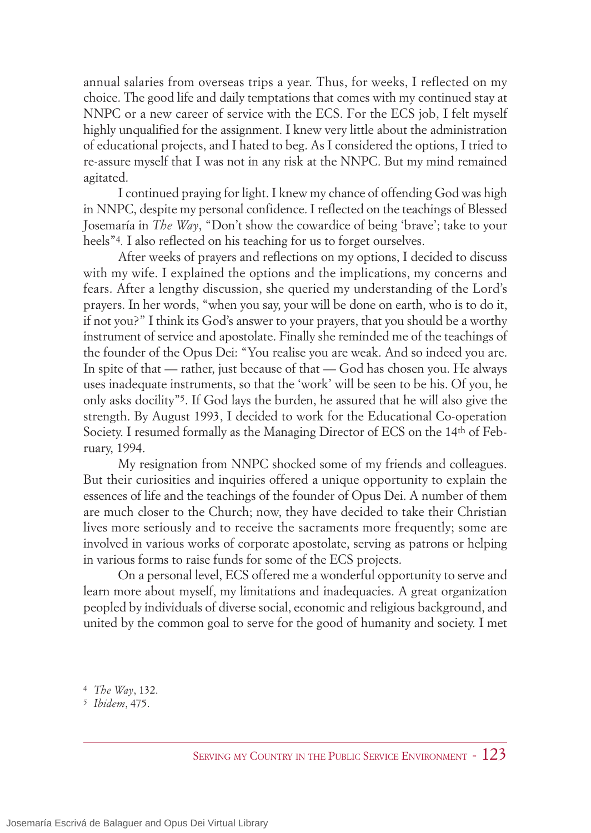annual salaries from overseas trips a year. Thus, for weeks, I reflected on my choice. The good life and daily temptations that comes with my continued stay at NNPC or a new career of service with the ECS. For the ECS job, I felt myself highly unqualified for the assignment. I knew very little about the administration of educational projects, and I hated to beg. As I considered the options, I tried to re-assure myself that I was not in any risk at the NNPC. But my mind remained agitated.

I continued praying for light. I knew my chance of offending God was high in NNPC, despite my personal confidence. I reflected on the teachings of Blessed Josemaría in *The Way*, "Don't show the cowardice of being 'brave'; take to your heels"4*.* I also reflected on his teaching for us to forget ourselves.

After weeks of prayers and reflections on my options, I decided to discuss with my wife. I explained the options and the implications, my concerns and fears. After a lengthy discussion, she queried my understanding of the Lord's prayers. In her words, "when you say, your will be done on earth, who is to do it, if not you?" I think its God's answer to your prayers, that you should be a worthy instrument of service and apostolate. Finally she reminded me of the teachings of the founder of the Opus Dei: "You realise you are weak. And so indeed you are. In spite of that — rather, just because of that — God has chosen you. He always uses inadequate instruments, so that the 'work' will be seen to be his. Of you, he only asks docility"5. If God lays the burden, he assured that he will also give the strength. By August 1993, I decided to work for the Educational Co-operation Society. I resumed formally as the Managing Director of ECS on the 14th of February, 1994.

My resignation from NNPC shocked some of my friends and colleagues. But their curiosities and inquiries offered a unique opportunity to explain the essences of life and the teachings of the founder of Opus Dei. A number of them are much closer to the Church; now, they have decided to take their Christian lives more seriously and to receive the sacraments more frequently; some are involved in various works of corporate apostolate, serving as patrons or helping in various forms to raise funds for some of the ECS projects.

On a personal level, ECS offered me a wonderful opportunity to serve and learn more about myself, my limitations and inadequacies. A great organization peopled by individuals of diverse social, economic and religious background, and united by the common goal to serve for the good of humanity and society. I met

<sup>4</sup> *The Way*, 132.

<sup>5</sup> *Ibidem*, 475.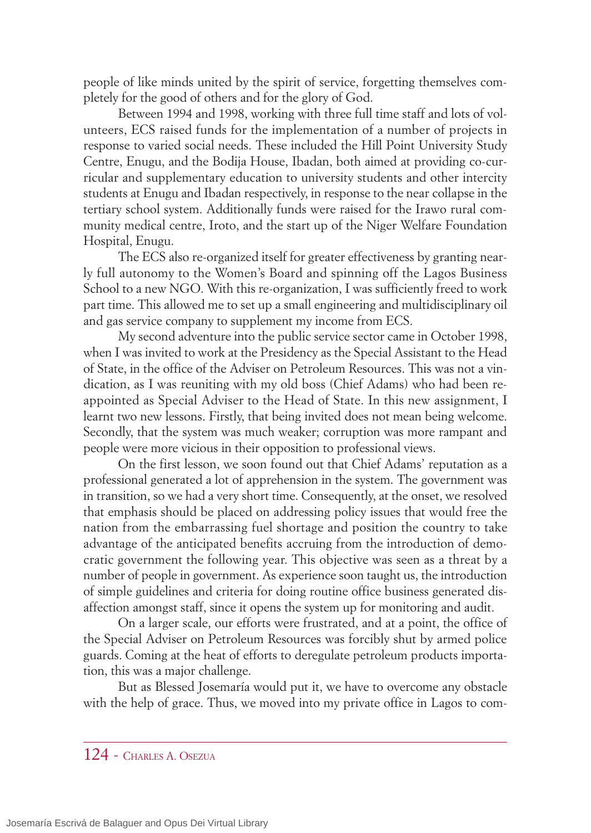people of like minds united by the spirit of service, forgetting themselves completely for the good of others and for the glory of God.

Between 1994 and 1998, working with three full time staff and lots of volunteers, ECS raised funds for the implementation of a number of projects in response to varied social needs. These included the Hill Point University Study Centre, Enugu, and the Bodija House, Ibadan, both aimed at providing co-curricular and supplementary education to university students and other intercity students at Enugu and Ibadan respectively, in response to the near collapse in the tertiary school system. Additionally funds were raised for the Irawo rural community medical centre, Iroto, and the start up of the Niger Welfare Foundation Hospital, Enugu.

The ECS also re-organized itself for greater effectiveness by granting nearly full autonomy to the Women's Board and spinning off the Lagos Business School to a new NGO. With this re-organization, I was sufficiently freed to work part time. This allowed me to set up a small engineering and multidisciplinary oil and gas service company to supplement my income from ECS.

My second adventure into the public service sector came in October 1998, when I was invited to work at the Presidency as the Special Assistant to the Head of State, in the office of the Adviser on Petroleum Resources. This was not a vindication, as I was reuniting with my old boss (Chief Adams) who had been reappointed as Special Adviser to the Head of State. In this new assignment, I learnt two new lessons. Firstly, that being invited does not mean being welcome. Secondly, that the system was much weaker; corruption was more rampant and people were more vicious in their opposition to professional views.

On the first lesson, we soon found out that Chief Adams' reputation as a professional generated a lot of apprehension in the system. The government was in transition, so we had a very short time. Consequently, at the onset, we resolved that emphasis should be placed on addressing policy issues that would free the nation from the embarrassing fuel shortage and position the country to take advantage of the anticipated benefits accruing from the introduction of democratic government the following year. This objective was seen as a threat by a number of people in government. As experience soon taught us, the introduction of simple guidelines and criteria for doing routine office business generated disaffection amongst staff, since it opens the system up for monitoring and audit.

On a larger scale, our efforts were frustrated, and at a point, the office of the Special Adviser on Petroleum Resources was forcibly shut by armed police guards. Coming at the heat of efforts to deregulate petroleum products importation, this was a major challenge.

But as Blessed Josemaría would put it, we have to overcome any obstacle with the help of grace. Thus, we moved into my private office in Lagos to com